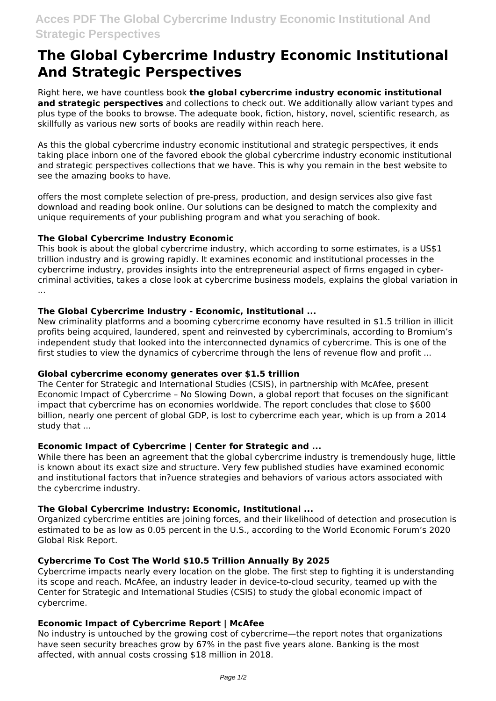# **The Global Cybercrime Industry Economic Institutional And Strategic Perspectives**

Right here, we have countless book **the global cybercrime industry economic institutional and strategic perspectives** and collections to check out. We additionally allow variant types and plus type of the books to browse. The adequate book, fiction, history, novel, scientific research, as skillfully as various new sorts of books are readily within reach here.

As this the global cybercrime industry economic institutional and strategic perspectives, it ends taking place inborn one of the favored ebook the global cybercrime industry economic institutional and strategic perspectives collections that we have. This is why you remain in the best website to see the amazing books to have.

offers the most complete selection of pre-press, production, and design services also give fast download and reading book online. Our solutions can be designed to match the complexity and unique requirements of your publishing program and what you seraching of book.

## **The Global Cybercrime Industry Economic**

This book is about the global cybercrime industry, which according to some estimates, is a US\$1 trillion industry and is growing rapidly. It examines economic and institutional processes in the cybercrime industry, provides insights into the entrepreneurial aspect of firms engaged in cybercriminal activities, takes a close look at cybercrime business models, explains the global variation in ...

## **The Global Cybercrime Industry - Economic, Institutional ...**

New criminality platforms and a booming cybercrime economy have resulted in \$1.5 trillion in illicit profits being acquired, laundered, spent and reinvested by cybercriminals, according to Bromium's independent study that looked into the interconnected dynamics of cybercrime. This is one of the first studies to view the dynamics of cybercrime through the lens of revenue flow and profit ...

#### **Global cybercrime economy generates over \$1.5 trillion**

The Center for Strategic and International Studies (CSIS), in partnership with McAfee, present Economic Impact of Cybercrime – No Slowing Down, a global report that focuses on the significant impact that cybercrime has on economies worldwide. The report concludes that close to \$600 billion, nearly one percent of global GDP, is lost to cybercrime each year, which is up from a 2014 study that ...

#### **Economic Impact of Cybercrime | Center for Strategic and ...**

While there has been an agreement that the global cybercrime industry is tremendously huge, little is known about its exact size and structure. Very few published studies have examined economic and institutional factors that in?uence strategies and behaviors of various actors associated with the cybercrime industry.

# **The Global Cybercrime Industry: Economic, Institutional ...**

Organized cybercrime entities are joining forces, and their likelihood of detection and prosecution is estimated to be as low as 0.05 percent in the U.S., according to the World Economic Forum's 2020 Global Risk Report.

# **Cybercrime To Cost The World \$10.5 Trillion Annually By 2025**

Cybercrime impacts nearly every location on the globe. The first step to fighting it is understanding its scope and reach. McAfee, an industry leader in device-to-cloud security, teamed up with the Center for Strategic and International Studies (CSIS) to study the global economic impact of cybercrime.

# **Economic Impact of Cybercrime Report | McAfee**

No industry is untouched by the growing cost of cybercrime—the report notes that organizations have seen security breaches grow by 67% in the past five years alone. Banking is the most affected, with annual costs crossing \$18 million in 2018.